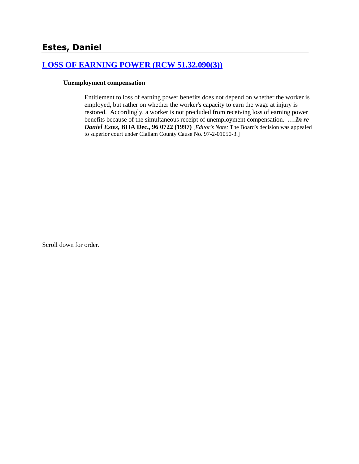# **[LOSS OF EARNING POWER \(RCW 51.32.090\(3\)\)](http://www.biia.wa.gov/SDSubjectIndex.html#LOSS_OF_EARNING_POWER)**

#### **Unemployment compensation**

Entitlement to loss of earning power benefits does not depend on whether the worker is employed, but rather on whether the worker's capacity to earn the wage at injury is restored. Accordingly, a worker is not precluded from receiving loss of earning power benefits because of the simultaneous receipt of unemployment compensation. **….***In re Daniel Estes***, BIIA Dec., 96 0722 (1997)** [*Editor's Note:* The Board's decision was appealed to superior court under Clallam County Cause No. 97-2-01050-3.]

Scroll down for order.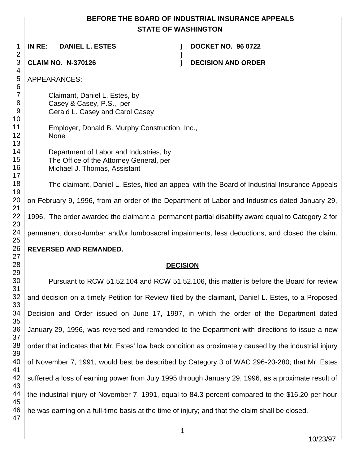# **BEFORE THE BOARD OF INDUSTRIAL INSURANCE APPEALS STATE OF WASHINGTON**

**)**

 **IN RE: DANIEL L. ESTES ) DOCKET NO. 96 0722**

**CLAIM NO. N-370126 ) DECISION AND ORDER** 

APPEARANCES:

Claimant, Daniel L. Estes, by Casey & Casey, P.S., per Gerald L. Casey and Carol Casey

- Employer, Donald B. Murphy Construction, Inc., None
	- Department of Labor and Industries, by The Office of the Attorney General, per Michael J. Thomas, Assistant

The claimant, Daniel L. Estes, filed an appeal with the Board of Industrial Insurance Appeals on February 9, 1996, from an order of the Department of Labor and Industries dated January 29, 1996. The order awarded the claimant a permanent partial disability award equal to Category 2 for permanent dorso-lumbar and/or lumbosacral impairments, less deductions, and closed the claim.

# **REVERSED AND REMANDED.**

# **DECISION**

 Pursuant to RCW 51.52.104 and RCW 51.52.106, this matter is before the Board for review and decision on a timely Petition for Review filed by the claimant, Daniel L. Estes, to a Proposed Decision and Order issued on June 17, 1997, in which the order of the Department dated January 29, 1996, was reversed and remanded to the Department with directions to issue a new order that indicates that Mr. Estes' low back condition as proximately caused by the industrial injury of November 7, 1991, would best be described by Category 3 of WAC 296-20-280; that Mr. Estes suffered a loss of earning power from July 1995 through January 29, 1996, as a proximate result of the industrial injury of November 7, 1991, equal to 84.3 percent compared to the \$16.20 per hour he was earning on a full-time basis at the time of injury; and that the claim shall be closed.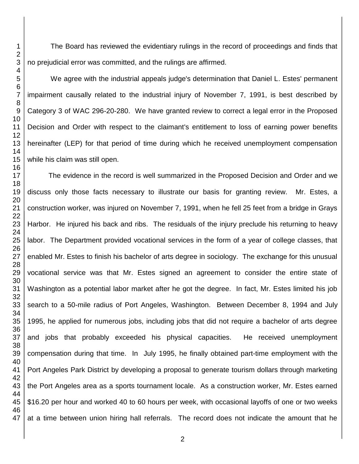The Board has reviewed the evidentiary rulings in the record of proceedings and finds that no prejudicial error was committed, and the rulings are affirmed.

We agree with the industrial appeals judge's determination that Daniel L. Estes' permanent impairment causally related to the industrial injury of November 7, 1991, is best described by Category 3 of WAC 296-20-280. We have granted review to correct a legal error in the Proposed Decision and Order with respect to the claimant's entitlement to loss of earning power benefits hereinafter (LEP) for that period of time during which he received unemployment compensation while his claim was still open.

The evidence in the record is well summarized in the Proposed Decision and Order and we discuss only those facts necessary to illustrate our basis for granting review. Mr. Estes, a construction worker, was injured on November 7, 1991, when he fell 25 feet from a bridge in Grays Harbor. He injured his back and ribs. The residuals of the injury preclude his returning to heavy labor. The Department provided vocational services in the form of a year of college classes, that enabled Mr. Estes to finish his bachelor of arts degree in sociology. The exchange for this unusual vocational service was that Mr. Estes signed an agreement to consider the entire state of Washington as a potential labor market after he got the degree. In fact, Mr. Estes limited his job search to a 50-mile radius of Port Angeles, Washington. Between December 8, 1994 and July 1995, he applied for numerous jobs, including jobs that did not require a bachelor of arts degree and jobs that probably exceeded his physical capacities. He received unemployment compensation during that time. In July 1995, he finally obtained part-time employment with the Port Angeles Park District by developing a proposal to generate tourism dollars through marketing the Port Angeles area as a sports tournament locale. As a construction worker, Mr. Estes earned \$16.20 per hour and worked 40 to 60 hours per week, with occasional layoffs of one or two weeks at a time between union hiring hall referrals. The record does not indicate the amount that he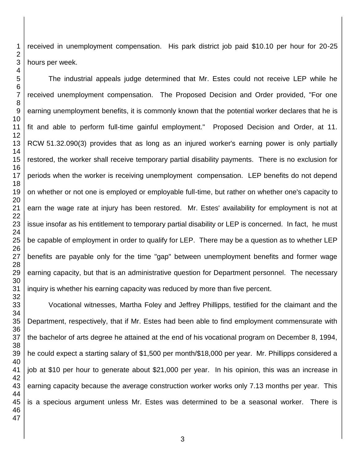received in unemployment compensation. His park district job paid \$10.10 per hour for 20-25 hours per week.

The industrial appeals judge determined that Mr. Estes could not receive LEP while he received unemployment compensation. The Proposed Decision and Order provided, "For one earning unemployment benefits, it is commonly known that the potential worker declares that he is fit and able to perform full-time gainful employment." Proposed Decision and Order, at 11. RCW 51.32.090(3) provides that as long as an injured worker's earning power is only partially restored, the worker shall receive temporary partial disability payments. There is no exclusion for periods when the worker is receiving unemployment compensation. LEP benefits do not depend on whether or not one is employed or employable full-time, but rather on whether one's capacity to earn the wage rate at injury has been restored. Mr. Estes' availability for employment is not at issue insofar as his entitlement to temporary partial disability or LEP is concerned. In fact, he must be capable of employment in order to qualify for LEP. There may be a question as to whether LEP benefits are payable only for the time "gap" between unemployment benefits and former wage earning capacity, but that is an administrative question for Department personnel. The necessary inquiry is whether his earning capacity was reduced by more than five percent.

Vocational witnesses, Martha Foley and Jeffrey Phillipps, testified for the claimant and the Department, respectively, that if Mr. Estes had been able to find employment commensurate with the bachelor of arts degree he attained at the end of his vocational program on December 8, 1994, he could expect a starting salary of \$1,500 per month/\$18,000 per year. Mr. Phillipps considered a job at \$10 per hour to generate about \$21,000 per year. In his opinion, this was an increase in earning capacity because the average construction worker works only 7.13 months per year. This is a specious argument unless Mr. Estes was determined to be a seasonal worker. There is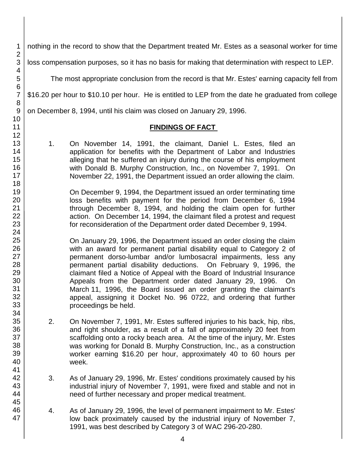1 nothing in the record to show that the Department treated Mr. Estes as a seasonal worker for time loss compensation purposes, so it has no basis for making that determination with respect to LEP.

The most appropriate conclusion from the record is that Mr. Estes' earning capacity fell from

\$16.20 per hour to \$10.10 per hour. He is entitled to LEP from the date he graduated from college

on December 8, 1994, until his claim was closed on January 29, 1996.

#### **FINDINGS OF FACT**

1. On November 14, 1991, the claimant, Daniel L. Estes, filed an application for benefits with the Department of Labor and Industries alleging that he suffered an injury during the course of his employment with Donald B. Murphy Construction, Inc., on November 7, 1991. On November 22, 1991, the Department issued an order allowing the claim.

On December 9, 1994, the Department issued an order terminating time loss benefits with payment for the period from December 6, 1994 through December 8, 1994, and holding the claim open for further action. On December 14, 1994, the claimant filed a protest and request for reconsideration of the Department order dated December 9, 1994.

On January 29, 1996, the Department issued an order closing the claim with an award for permanent partial disability equal to Category 2 of permanent dorso-lumbar and/or lumbosacral impairments, less any permanent partial disability deductions. On February 9, 1996, the claimant filed a Notice of Appeal with the Board of Industrial Insurance Appeals from the Department order dated January 29, 1996. On March 11, 1996, the Board issued an order granting the claimant's appeal, assigning it Docket No. 96 0722, and ordering that further proceedings be held.

- 2. On November 7, 1991, Mr. Estes suffered injuries to his back, hip, ribs, and right shoulder, as a result of a fall of approximately 20 feet from scaffolding onto a rocky beach area. At the time of the injury, Mr. Estes was working for Donald B. Murphy Construction, Inc., as a construction worker earning \$16.20 per hour, approximately 40 to 60 hours per week.
- 3. As of January 29, 1996, Mr. Estes' conditions proximately caused by his industrial injury of November 7, 1991, were fixed and stable and not in need of further necessary and proper medical treatment.
- 4. As of January 29, 1996, the level of permanent impairment to Mr. Estes' low back proximately caused by the industrial injury of November 7, 1991, was best described by Category 3 of WAC 296-20-280.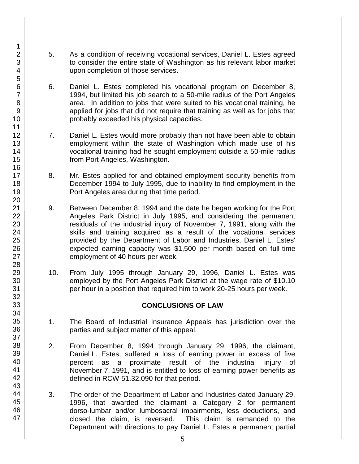- 5. As a condition of receiving vocational services, Daniel L. Estes agreed to consider the entire state of Washington as his relevant labor market upon completion of those services.
- 6. Daniel L. Estes completed his vocational program on December 8, 1994, but limited his job search to a 50-mile radius of the Port Angeles area. In addition to jobs that were suited to his vocational training, he applied for jobs that did not require that training as well as for jobs that probably exceeded his physical capacities.
- 7. Daniel L. Estes would more probably than not have been able to obtain employment within the state of Washington which made use of his vocational training had he sought employment outside a 50-mile radius from Port Angeles, Washington.
- 8. Mr. Estes applied for and obtained employment security benefits from December 1994 to July 1995, due to inability to find employment in the Port Angeles area during that time period.
- 9. Between December 8, 1994 and the date he began working for the Port Angeles Park District in July 1995, and considering the permanent residuals of the industrial injury of November 7, 1991, along with the skills and training acquired as a result of the vocational services provided by the Department of Labor and Industries, Daniel L. Estes' expected earning capacity was \$1,500 per month based on full-time employment of 40 hours per week.
- 10. From July 1995 through January 29, 1996, Daniel L. Estes was employed by the Port Angeles Park District at the wage rate of \$10.10 per hour in a position that required him to work 20-25 hours per week.

### **CONCLUSIONS OF LAW**

- 1. The Board of Industrial Insurance Appeals has jurisdiction over the parties and subject matter of this appeal.
- 2. From December 8, 1994 through January 29, 1996, the claimant, Daniel L. Estes, suffered a loss of earning power in excess of five percent as a proximate result of the industrial injury of November 7, 1991, and is entitled to loss of earning power benefits as defined in RCW 51.32.090 for that period.
- 3. The order of the Department of Labor and Industries dated January 29, 1996, that awarded the claimant a Category 2 for permanent dorso-lumbar and/or lumbosacral impairments, less deductions, and closed the claim, is reversed. This claim is remanded to the Department with directions to pay Daniel L. Estes a permanent partial